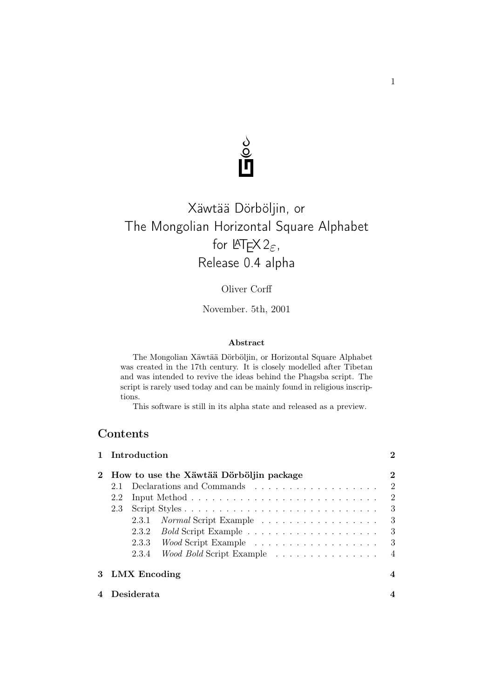

## Xäwtää Dörböljin, or The Mongolian Horizontal Square Alphabet for  $\mathbb{A}\mathbb{F} \times 2_{\varepsilon}$ , Release 0.4 alpha

## Oliver Corff

November. 5th, 2001

#### Abstract

The Mongolian Xäwtää Dörböljin, or Horizontal Square Alphabet was created in the 17th century. It is closely modelled after Tibetan and was intended to revive the ideas behind the Phagsba script. The script is rarely used today and can be mainly found in religious inscriptions.

This software is still in its alpha state and released as a preview.

## **Contents**

| 1 Introduction                           | $\bf{2}$       |  |  |  |  |  |  |  |
|------------------------------------------|----------------|--|--|--|--|--|--|--|
| How to use the Xäwtää Dörböljin package  |                |  |  |  |  |  |  |  |
| 2.1                                      | $\overline{2}$ |  |  |  |  |  |  |  |
| 2.2                                      | $\overline{2}$ |  |  |  |  |  |  |  |
| 2.3                                      | 3              |  |  |  |  |  |  |  |
| Normal Script Example<br>2.3.1           | 3              |  |  |  |  |  |  |  |
| 2.3.2                                    | 3              |  |  |  |  |  |  |  |
| 2.3.3 Wood Script Example                | 3              |  |  |  |  |  |  |  |
| 2.3.4<br><i>Wood Bold</i> Script Example | 4              |  |  |  |  |  |  |  |
| 3 LMX Encoding                           | 4              |  |  |  |  |  |  |  |
| Desiderata                               |                |  |  |  |  |  |  |  |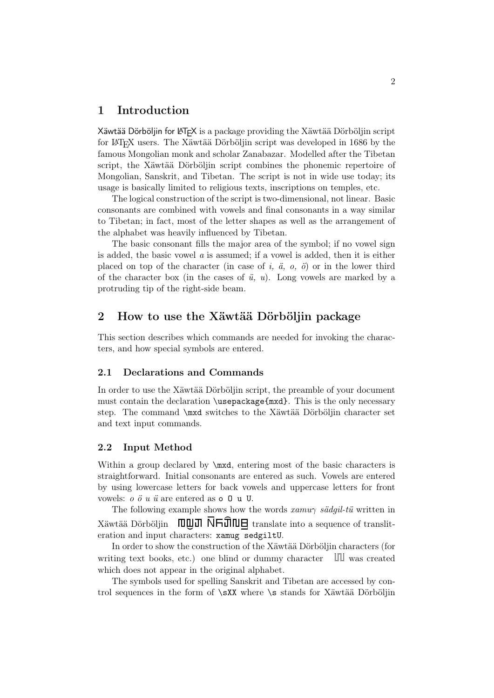### 1 Introduction

Xäwtää Dörböljin for LATEX is a package providing the Xäwtää Dörböljin script for LATEX users. The Xäwtää Dörböljin script was developed in 1686 by the famous Mongolian monk and scholar Zanabazar. Modelled after the Tibetan script, the Xäwtää Dörböljin script combines the phonemic repertoire of Mongolian, Sanskrit, and Tibetan. The script is not in wide use today; its usage is basically limited to religious texts, inscriptions on temples, etc.

The logical construction of the script is two-dimensional, not linear. Basic consonants are combined with vowels and final consonants in a way similar to Tibetan; in fact, most of the letter shapes as well as the arrangement of the alphabet was heavily influenced by Tibetan.

The basic consonant fills the major area of the symbol; if no vowel sign is added, the basic vowel a is assumed; if a vowel is added, then it is either placed on top of the character (in case of i,  $\ddot{a}$ ,  $o$ ,  $\ddot{o}$ ) or in the lower third of the character box (in the cases of  $\ddot{u}$ ,  $u$ ). Long vowels are marked by a protruding tip of the right-side beam.

### 2 How to use the Xäwtää Dörböljin package

This section describes which commands are needed for invoking the characters, and how special symbols are entered.

#### 2.1 Declarations and Commands

In order to use the Xäwtää Dörböljin script, the preamble of your document must contain the declaration \usepackage{mxd}. This is the only necessary step. The command \mxd switches to the Xäwtää Dörböljin character set and text input commands.

#### 2.2 Input Method

Within a group declared by  $\text{maxd}$ , entering most of the basic characters is straightforward. Initial consonants are entered as such. Vowels are entered by using lowercase letters for back vowels and uppercase letters for front vowels: o ö u ü are entered as o O u U.

The following example shows how the words  $xamu\gamma$  sädgil-tü written in Xäwtää Dörböljin  $\Box \Box \Box \Box \overline \Box \Box \Box \Box$  translate into a sequence of transliteration and input characters: xamug sedgiltU.

In order to show the construction of the Xäwtää Dörböljin characters (for writing text books, etc.) one blind or dummy character  $\mathbb{II}$  was created which does not appear in the original alphabet.

The symbols used for spelling Sanskrit and Tibetan are accessed by control sequences in the form of \sXX where \s stands for Xäwtää Dörböljin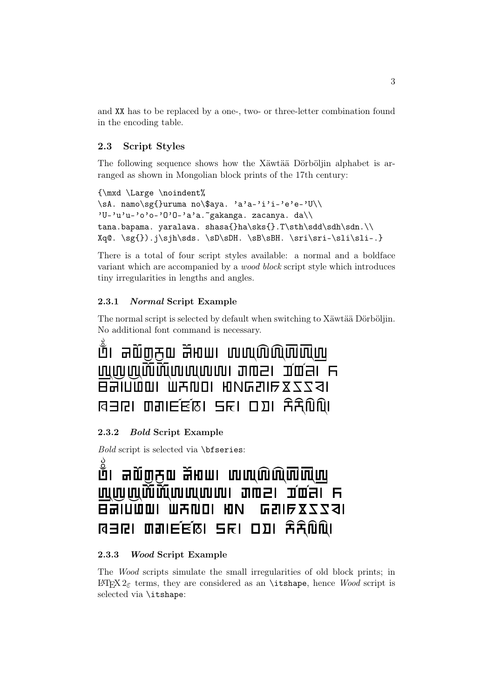and XX has to be replaced by a one-, two- or three-letter combination found in the encoding table.

### 2.3 Script Styles

The following sequence shows how the Xäwtää Dörböljin alphabet is arranged as shown in Mongolian block prints of the 17th century:

```
{\mxd \Large \noindent%
\sA. namo\sg{}uruma no\$aya. 'a'a-'i'i-'e'e-'U\\
'U-'u'u-'o'o-'0'0-'a'a.~gakanga. zacanya. da\\
tana.bapama. yaralawa. shasa{}ha\sks{}.T\sth\sdd\sdh\sdn.\\
Xq@. \sg{}).j\sjh\sds. \sD\sDH. \sB\sBH. \sri\sri-\sli\sli-.}
```
There is a total of four script styles available: a normal and a boldface variant which are accompanied by a wood block script style which introduces tiny irregularities in lengths and angles.

#### 2.3.1 Normal Script Example

The normal script is selected by default when switching to Xäwtää Dörböljin. No additional font command is necessary. ა

{. nmo(urum no\$y. ''--- ----''. gkx. zc=. d tn.bpm. yrlw. \$sh!.T1234. Xq@. ().j,9. 56. 78. %%-&&-.

#### 2.3.2 Bold Script Example

Bold script is selected via \bfseries:

## ាំ គាល៍៣ភុល ភ័អាយ លេឈលិលិ<mark>លិ</mark>លិយ <u>uuwww.mathoodina and single the summarities of the summarities of the summarities of the summarities of the su</u>  $B$ allum. Mxuni kn. esil $52231$  $R = RI$   $R = RI$   $R$   $R$ .  $R = RI$   $R$

#### 2.3.3 Wood Script Example

The Wood scripts simulate the small irregularities of old block prints; in LAT<sub>F</sub>X 2<sub>ε</sub> terms, they are considered as an \itshape, hence Wood script is selected via \itshape: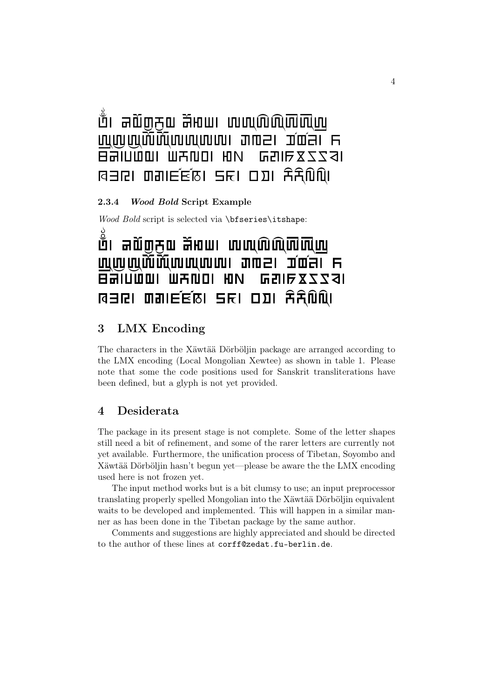# ាំ គាលិ់ញក្មួយ គីអាយា លាហៀលិលិយិកាយ ----''. gkx. zc=. d  $\overline{B}$ alumul Wandi Hun Gali $\overline{z}$ 234  $R$  a set on  $R$  and  $R$  and  $R$

2.3.4 Wood Bold Script Example

Wood Bold script is selected via \bfseries\itshape:

## ាំ គលិ៣ភល ភិអាយា លាលលិលិ<mark>លិ</mark>លិយ ----''. gkx. zc=. d  $B$ aluww. Wallon. Both  $BZZZ31$  $R = RI$  as  $R = RI$  and  $R = RI$

## 3 LMX Encoding

The characters in the Xäwtää Dörböljin package are arranged according to the LMX encoding (Local Mongolian Xewtee) as shown in table 1. Please note that some the code positions used for Sanskrit transliterations have been defined, but a glyph is not yet provided.

### 4 Desiderata

The package in its present stage is not complete. Some of the letter shapes still need a bit of refinement, and some of the rarer letters are currently not yet available. Furthermore, the unification process of Tibetan, Soyombo and Xäwtää Dörböljin hasn't begun yet—please be aware the the LMX encoding used here is not frozen yet.

The input method works but is a bit clumsy to use; an input preprocessor translating properly spelled Mongolian into the Xäwtää Dörböljin equivalent waits to be developed and implemented. This will happen in a similar manner as has been done in the Tibetan package by the same author.

Comments and suggestions are highly appreciated and should be directed to the author of these lines at corff@zedat.fu-berlin.de.